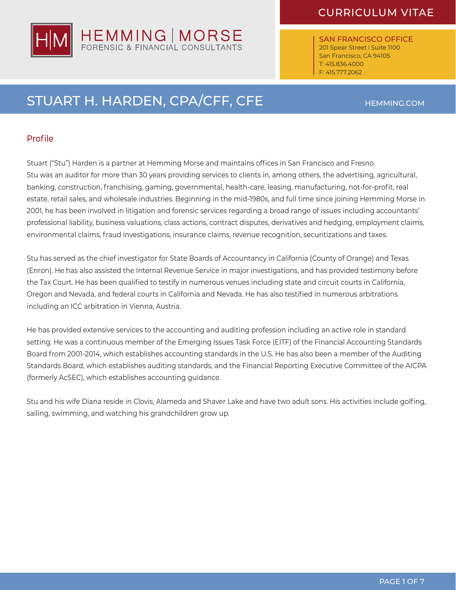

SAN FRANCISCO OFFICE 201 Spear Street | Suite 1100 San Francisco, CA 94105 T: 415.836.4000 F: 415.777.2062

## STUART H. HARDEN, CPA/CFF, CFE HEMMING.COM

HEMMING | MORSE<br>FORENSIC & FINANCIAL CONSULTANTS

### Profile

Stuart ("Stu") Harden is a partner at Hemming Morse and maintains offices in San Francisco and Fresno. Stu was an auditor for more than 30 years providing services to clients in, among others, the advertising, agricultural, banking, construction, franchising, gaming, governmental, health-care, leasing, manufacturing, not-for-profit, real estate, retail sales, and wholesale industries. Beginning in the mid-1980s, and full time since joining Hemming Morse in 2001, he has been involved in litigation and forensic services regarding a broad range of issues including accountants' professional liability, business valuations, class actions, contract disputes, derivatives and hedging, employment claims, environmental claims, fraud investigations, insurance claims, revenue recognition, securitizations and taxes.

Stu has served as the chief investigator for State Boards of Accountancy in California (County of Orange) and Texas (Enron). He has also assisted the Internal Revenue Service in major investigations, and has provided testimony before the Tax Court. He has been qualified to testify in numerous venues including state and circuit courts in California, Oregon and Nevada, and federal courts in California and Nevada. He has also testified in numerous arbitrations including an ICC arbitration in Vienna, Austria.

He has provided extensive services to the accounting and auditing profession including an active role in standard setting. He was a continuous member of the Emerging Issues Task Force (EITF) of the Financial Accounting Standards Board from 2001-2014, which establishes accounting standards in the U.S. He has also been a member of the Auditing Standards Board, which establishes auditing standards, and the Financial Reporting Executive Committee of the AICPA (formerly AcSEC), which establishes accounting guidance.

Stu and his wife Diana reside in Clovis, Alameda and Shaver Lake and have two adult sons. His activities include golfing, sailing, swimming, and watching his grandchildren grow up.

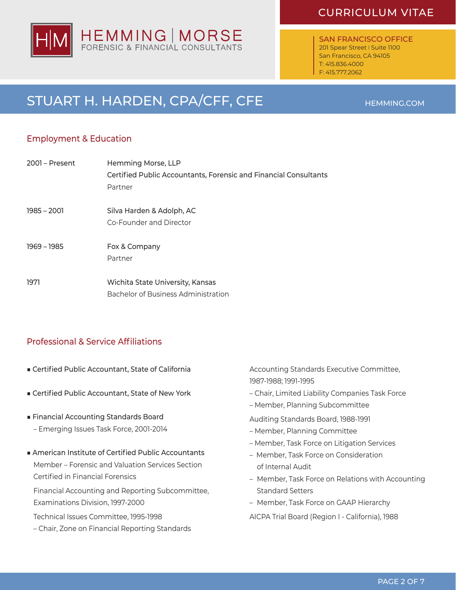### CURRICULUM VITAE

SAN FRANCISCO OFFICE 201 Spear Street I Suite 1100 San Francisco, CA 94105 T: 415.836.4000 F: 415.777.2062

PAGE 2 OF 7

# STUART H. HARDEN, CPA/CFF, CFE HEMMING.COM

### Employment & Education

| $2001 -$ Present | Hemming Morse, LLP                                               |
|------------------|------------------------------------------------------------------|
|                  | Certified Public Accountants, Forensic and Financial Consultants |
|                  | Partner                                                          |
| 1985 – 2001      | Silva Harden & Adolph, AC                                        |
|                  | Co-Founder and Director                                          |
| 1969 – 1985      | Fox & Company                                                    |
|                  | Partner                                                          |
| 1971             | Wichita State University, Kansas                                 |
|                  | Bachelor of Business Administration                              |

### Professional & Service Affiliations

- Certified Public Accountant, State of California
- Certified Public Accountant, State of New York
- Financial Accounting Standards Board
	- Emerging Issues Task Force, 2001-2014
- American Institute of Certified Public Accountants Member – Forensic and Valuation Services Section Certified in Financial Forensics

Financial Accounting and Reporting Subcommittee, Examinations Division, 1997-2000

Technical Issues Committee, 1995-1998

– Chair, Zone on Financial Reporting Standards

Accounting Standards Executive Committee, 1987-1988; 1991-1995

- Chair, Limited Liability Companies Task Force
- Member, Planning Subcommittee
- Auditing Standards Board, 1988-1991
- Member, Planning Committee
- Member, Task Force on Litigation Services
- Member, Task Force on Consideration of Internal Audit
- Member, Task Force on Relations with Accounting Standard Setters
- Member, Task Force on GAAP Hierarchy

AICPA Trial Board (Region I - California), 1988



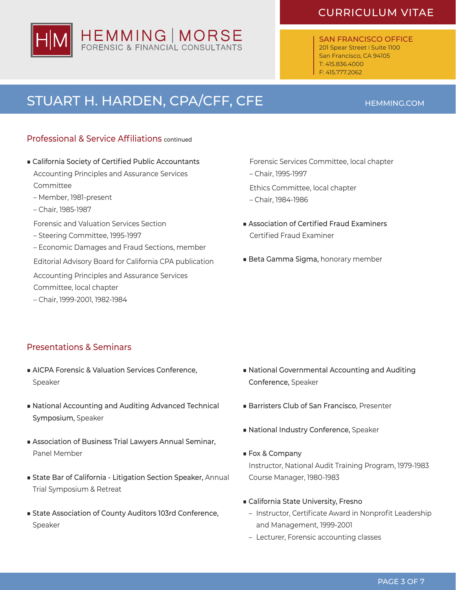# HEMMING | MORSE<br>FORENSIC & FINANCIAL CONSULTANTS

## CURRICULUM VITAE

SAN FRANCISCO OFFICE 201 Spear Street | Suite 1100 San Francisco, CA 94105 T: 415.836.4000 F: 415.777.2062

# STUART H. HARDEN, CPA/CFF, CFE HEMMING.COM

### Professional & Service Affiliations continued

- California Society of Certified Public Accountants Accounting Principles and Assurance Services Committee
	- Member, 1981-present
	- Chair, 1985-1987
	- Forensic and Valuation Services Section
	- Steering Committee, 1995-1997
	- Economic Damages and Fraud Sections, member

Editorial Advisory Board for California CPA publication

Accounting Principles and Assurance Services

Committee, local chapter

– Chair, 1999-2001, 1982-1984

### Forensic Services Committee, local chapter

– Chair, 1995-1997

Ethics Committee, local chapter

- Chair, 1984-1986
- Association of Certified Fraud Examiners Certified Fraud Examiner
- Beta Gamma Sigma, honorary member

### Presentations & Seminars

- AICPA Forensic & Valuation Services Conference, Speaker
- National Accounting and Auditing Advanced Technical Symposium, Speaker
- Association of Business Trial Lawyers Annual Seminar, Panel Member
- State Bar of California Litigation Section Speaker, Annual Trial Symposium & Retreat
- State Association of County Auditors 103rd Conference, Speaker
- National Governmental Accounting and Auditing Conference, Speaker
- Barristers Club of San Francisco, Presenter
- National Industry Conference, Speaker
- Fox & Company Instructor, National Audit Training Program, 1979-1983 Course Manager, 1980-1983
- California State University, Fresno
	- Instructor, Certificate Award in Nonprofit Leadership and Management, 1999-2001
	- Lecturer, Forensic accounting classes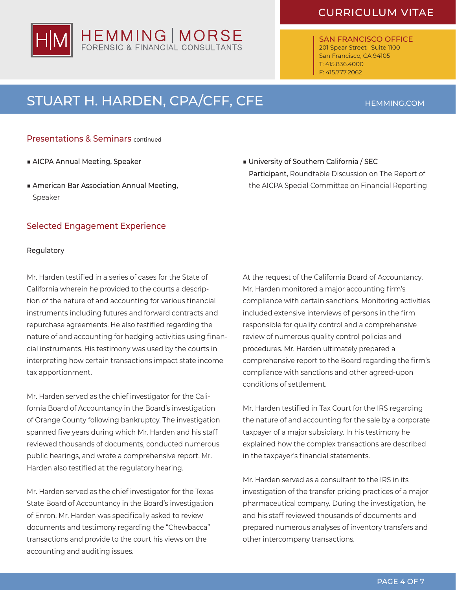# HEMMING | MORSE<br>FORENSIC & FINANCIAL CONSULTANTS

## CURRICULUM VITAE

SAN FRANCISCO OFFICE 201 Spear Street | Suite 1100 San Francisco, CA 94105 T: 415.836.4000 F: 415.777.2062

# STUART H. HARDEN, CPA/CFF, CFE HEMMING.COM

### Presentations & Seminars continued

- AICPA Annual Meeting, Speaker
- American Bar Association Annual Meeting, Speaker

### Selected Engagement Experience

### Regulatory

Mr. Harden testified in a series of cases for the State of California wherein he provided to the courts a description of the nature of and accounting for various financial instruments including futures and forward contracts and repurchase agreements. He also testified regarding the nature of and accounting for hedging activities using financial instruments. His testimony was used by the courts in interpreting how certain transactions impact state income tax apportionment.

Mr. Harden served as the chief investigator for the California Board of Accountancy in the Board's investigation of Orange County following bankruptcy. The investigation spanned five years during which Mr. Harden and his staff reviewed thousands of documents, conducted numerous public hearings, and wrote a comprehensive report. Mr. Harden also testified at the regulatory hearing.

Mr. Harden served as the chief investigator for the Texas State Board of Accountancy in the Board's investigation of Enron. Mr. Harden was specifically asked to review documents and testimony regarding the "Chewbacca" transactions and provide to the court his views on the accounting and auditing issues.

■ University of Southern California / SEC Participant, Roundtable Discussion on The Report of the AICPA Special Committee on Financial Reporting

At the request of the California Board of Accountancy, Mr. Harden monitored a major accounting firm's compliance with certain sanctions. Monitoring activities included extensive interviews of persons in the firm responsible for quality control and a comprehensive review of numerous quality control policies and procedures. Mr. Harden ultimately prepared a comprehensive report to the Board regarding the firm's compliance with sanctions and other agreed-upon conditions of settlement.

Mr. Harden testified in Tax Court for the IRS regarding the nature of and accounting for the sale by a corporate taxpayer of a major subsidiary. In his testimony he explained how the complex transactions are described in the taxpayer's financial statements.

Mr. Harden served as a consultant to the IRS in its investigation of the transfer pricing practices of a major pharmaceutical company. During the investigation, he and his staff reviewed thousands of documents and prepared numerous analyses of inventory transfers and other intercompany transactions.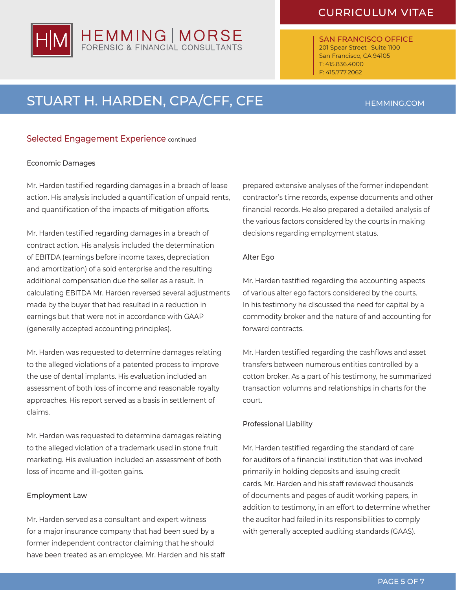# HEMMING | MORSE

## CURRICULUM VITAE

SAN FRANCISCO OFFICE 201 Spear Street | Suite 1100 San Francisco, CA 94105 T: 415.836.4000 F: 415.777.2062

# STUART H. HARDEN, CPA/CFF, CFE HEMMING.COM

### Selected Engagement Experience continued

### Economic Damages

Mr. Harden testified regarding damages in a breach of lease action. His analysis included a quantification of unpaid rents, and quantification of the impacts of mitigation efforts.

Mr. Harden testified regarding damages in a breach of contract action. His analysis included the determination of EBITDA (earnings before income taxes, depreciation and amortization) of a sold enterprise and the resulting additional compensation due the seller as a result. In calculating EBITDA Mr. Harden reversed several adjustments made by the buyer that had resulted in a reduction in earnings but that were not in accordance with GAAP (generally accepted accounting principles).

Mr. Harden was requested to determine damages relating to the alleged violations of a patented process to improve the use of dental implants. His evaluation included an assessment of both loss of income and reasonable royalty approaches. His report served as a basis in settlement of claims.

Mr. Harden was requested to determine damages relating to the alleged violation of a trademark used in stone fruit marketing. His evaluation included an assessment of both loss of income and ill-gotten gains.

### Employment Law

Mr. Harden served as a consultant and expert witness for a major insurance company that had been sued by a former independent contractor claiming that he should have been treated as an employee. Mr. Harden and his staff prepared extensive analyses of the former independent contractor's time records, expense documents and other financial records. He also prepared a detailed analysis of the various factors considered by the courts in making decisions regarding employment status.

### Alter Ego

Mr. Harden testified regarding the accounting aspects of various alter ego factors considered by the courts. In his testimony he discussed the need for capital by a commodity broker and the nature of and accounting for forward contracts.

Mr. Harden testified regarding the cashflows and asset transfers between numerous entities controlled by a cotton broker. As a part of his testimony, he summarized transaction volumns and relationships in charts for the court.

### Professional Liability

Mr. Harden testified regarding the standard of care for auditors of a financial institution that was involved primarily in holding deposits and issuing credit cards. Mr. Harden and his staff reviewed thousands of documents and pages of audit working papers, in addition to testimony, in an effort to determine whether the auditor had failed in its responsibilities to comply with generally accepted auditing standards (GAAS).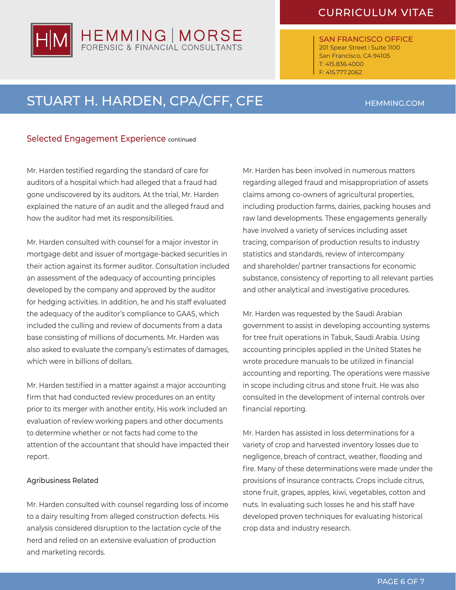### CURRICULUM VITAE

SAN FRANCISCO OFFICE 201 Spear Street | Suite 1100 San Francisco, CA 94105 T: 415.836.4000 F: 415.777.2062

## STUART H. HARDEN, CPA/CFF, CFE HEMMING.COM

HEMMING | MORSE

### Selected Engagement Experience continued

Mr. Harden testified regarding the standard of care for auditors of a hospital which had alleged that a fraud had gone undiscovered by its auditors. At the trial, Mr. Harden explained the nature of an audit and the alleged fraud and how the auditor had met its responsibilities.

Mr. Harden consulted with counsel for a major investor in mortgage debt and issuer of mortgage-backed securities in their action against its former auditor. Consultation included an assessment of the adequacy of accounting principles developed by the company and approved by the auditor for hedging activities. In addition, he and his staff evaluated the adequacy of the auditor's compliance to GAAS, which included the culling and review of documents from a data base consisting of millions of documents. Mr. Harden was also asked to evaluate the company's estimates of damages, which were in billions of dollars.

Mr. Harden testified in a matter against a major accounting firm that had conducted review procedures on an entity prior to its merger with another entity. His work included an evaluation of review working papers and other documents to determine whether or not facts had come to the attention of the accountant that should have impacted their report.

### Agribusiness Related

Mr. Harden consulted with counsel regarding loss of income to a dairy resulting from alleged construction defects. His analysis considered disruption to the lactation cycle of the herd and relied on an extensive evaluation of production and marketing records.

Mr. Harden has been involved in numerous matters regarding alleged fraud and misappropriation of assets claims among co-owners of agricultural properties, including production farms, dairies, packing houses and raw land developments. These engagements generally have involved a variety of services including asset tracing, comparison of production results to industry statistics and standards, review of intercompany and shareholder/ partner transactions for economic substance, consistency of reporting to all relevant parties and other analytical and investigative procedures.

Mr. Harden was requested by the Saudi Arabian government to assist in developing accounting systems for tree fruit operations in Tabuk, Saudi Arabia. Using accounting principles applied in the United States he wrote procedure manuals to be utilized in financial accounting and reporting. The operations were massive in scope including citrus and stone fruit. He was also consulted in the development of internal controls over financial reporting.

Mr. Harden has assisted in loss determinations for a variety of crop and harvested inventory losses due to negligence, breach of contract, weather, flooding and fire. Many of these determinations were made under the provisions of insurance contracts. Crops include citrus, stone fruit, grapes, apples, kiwi, vegetables, cotton and nuts. In evaluating such losses he and his staff have developed proven techniques for evaluating historical crop data and industry research.